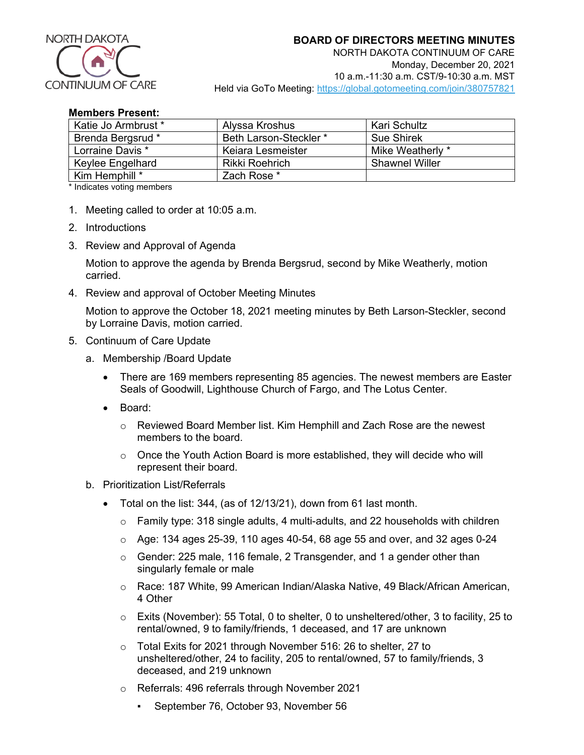

NORTH DAKOTA CONTINUUM OF CARE Monday, December 20, 2021 10 a.m.-11:30 a.m. CST/9-10:30 a.m. MST Held via GoTo Meeting: https://global.gotomeeting.com/join/380757821

## **Members Present:**

| Katie Jo Armbrust * | Alyssa Kroshus         | Kari Schultz          |
|---------------------|------------------------|-----------------------|
| Brenda Bergsrud *   | Beth Larson-Steckler * | <b>Sue Shirek</b>     |
| Lorraine Davis *    | Keiara Lesmeister      | Mike Weatherly *      |
| Keylee Engelhard    | Rikki Roehrich         | <b>Shawnel Willer</b> |
| Kim Hemphill *      | Zach Rose *            |                       |

\* Indicates voting members

- 1. Meeting called to order at 10:05 a.m.
- 2. Introductions
- 3. Review and Approval of Agenda

Motion to approve the agenda by Brenda Bergsrud, second by Mike Weatherly, motion carried.

4. Review and approval of October Meeting Minutes

Motion to approve the October 18, 2021 meeting minutes by Beth Larson-Steckler, second by Lorraine Davis, motion carried.

- 5. Continuum of Care Update
	- a. Membership /Board Update
		- There are 169 members representing 85 agencies. The newest members are Easter Seals of Goodwill, Lighthouse Church of Fargo, and The Lotus Center.
		- Board:
			- $\circ$  Reviewed Board Member list. Kim Hemphill and Zach Rose are the newest members to the board.
			- o Once the Youth Action Board is more established, they will decide who will represent their board.
	- b. Prioritization List/Referrals
		- Total on the list: 344, (as of 12/13/21), down from 61 last month.
			- $\circ$  Family type: 318 single adults, 4 multi-adults, and 22 households with children
			- $\circ$  Age: 134 ages 25-39, 110 ages 40-54, 68 age 55 and over, and 32 ages 0-24
			- $\circ$  Gender: 225 male, 116 female, 2 Transgender, and 1 a gender other than singularly female or male
			- o Race: 187 White, 99 American Indian/Alaska Native, 49 Black/African American, 4 Other
			- $\circ$  Exits (November): 55 Total, 0 to shelter, 0 to unsheltered/other, 3 to facility, 25 to rental/owned, 9 to family/friends, 1 deceased, and 17 are unknown
			- o Total Exits for 2021 through November 516: 26 to shelter, 27 to unsheltered/other, 24 to facility, 205 to rental/owned, 57 to family/friends, 3 deceased, and 219 unknown
			- o Referrals: 496 referrals through November 2021
				- September 76, October 93, November 56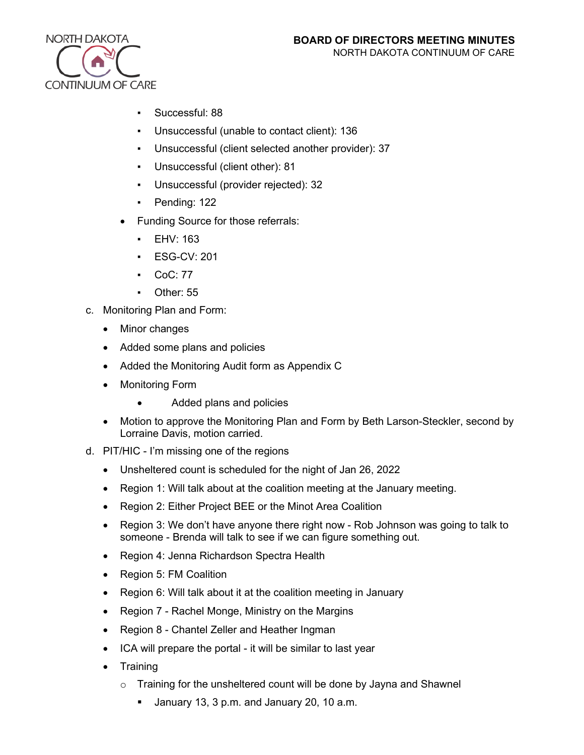

- Successful: 88
- Unsuccessful (unable to contact client): 136
- Unsuccessful (client selected another provider): 37
- Unsuccessful (client other): 81
- Unsuccessful (provider rejected): 32
- Pending: 122
- Funding Source for those referrals:
	- EHV: 163
	- **ESG-CV: 201**
	- $C_0C: 77$
	- Other: 55
- c. Monitoring Plan and Form:
	- Minor changes
	- Added some plans and policies
	- Added the Monitoring Audit form as Appendix C
	- Monitoring Form
		- Added plans and policies
	- Motion to approve the Monitoring Plan and Form by Beth Larson-Steckler, second by Lorraine Davis, motion carried.
- d. PIT/HIC I'm missing one of the regions
	- Unsheltered count is scheduled for the night of Jan 26, 2022
	- Region 1: Will talk about at the coalition meeting at the January meeting.
	- Region 2: Either Project BEE or the Minot Area Coalition
	- Region 3: We don't have anyone there right now Rob Johnson was going to talk to someone - Brenda will talk to see if we can figure something out.
	- Region 4: Jenna Richardson Spectra Health
	- Region 5: FM Coalition
	- Region 6: Will talk about it at the coalition meeting in January
	- Region 7 Rachel Monge, Ministry on the Margins
	- Region 8 Chantel Zeller and Heather Ingman
	- ICA will prepare the portal it will be similar to last year
	- Training
		- $\circ$  Training for the unsheltered count will be done by Jayna and Shawnel
			- January 13, 3 p.m. and January 20, 10 a.m.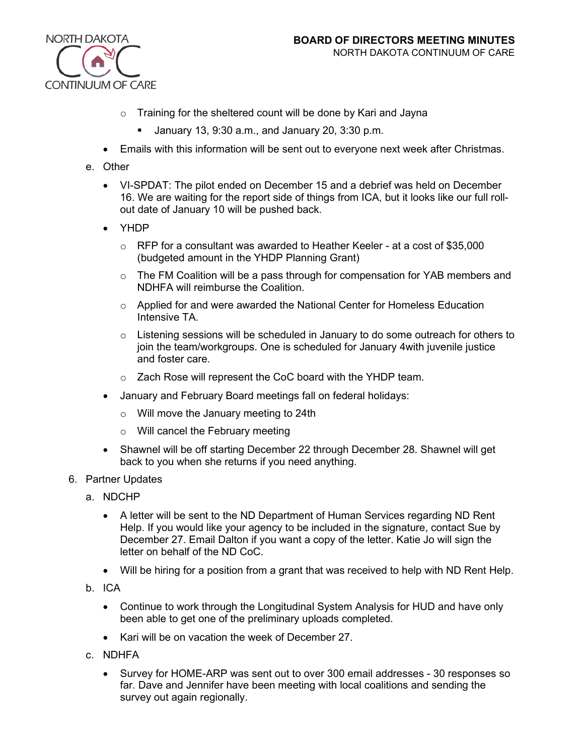

- $\circ$  Training for the sheltered count will be done by Kari and Jayna
	- **January 13, 9:30 a.m., and January 20, 3:30 p.m.**
- Emails with this information will be sent out to everyone next week after Christmas.
- e. Other
	- VI-SPDAT: The pilot ended on December 15 and a debrief was held on December 16. We are waiting for the report side of things from ICA, but it looks like our full rollout date of January 10 will be pushed back.
	- YHDP
		- $\circ$  RFP for a consultant was awarded to Heather Keeler at a cost of \$35,000 (budgeted amount in the YHDP Planning Grant)
		- $\circ$  The FM Coalition will be a pass through for compensation for YAB members and NDHFA will reimburse the Coalition.
		- $\circ$  Applied for and were awarded the National Center for Homeless Education Intensive TA.
		- $\circ$  Listening sessions will be scheduled in January to do some outreach for others to join the team/workgroups. One is scheduled for January 4with juvenile justice and foster care.
		- o Zach Rose will represent the CoC board with the YHDP team.
	- January and February Board meetings fall on federal holidays:
		- o Will move the January meeting to 24th
		- o Will cancel the February meeting
	- Shawnel will be off starting December 22 through December 28. Shawnel will get back to you when she returns if you need anything.
- 6. Partner Updates
	- a. NDCHP
		- A letter will be sent to the ND Department of Human Services regarding ND Rent Help. If you would like your agency to be included in the signature, contact Sue by December 27. Email Dalton if you want a copy of the letter. Katie Jo will sign the letter on behalf of the ND CoC.
		- Will be hiring for a position from a grant that was received to help with ND Rent Help.
	- b. ICA
		- Continue to work through the Longitudinal System Analysis for HUD and have only been able to get one of the preliminary uploads completed.
		- Kari will be on vacation the week of December 27
	- c. NDHFA
		- Survey for HOME-ARP was sent out to over 300 email addresses 30 responses so far. Dave and Jennifer have been meeting with local coalitions and sending the survey out again regionally.